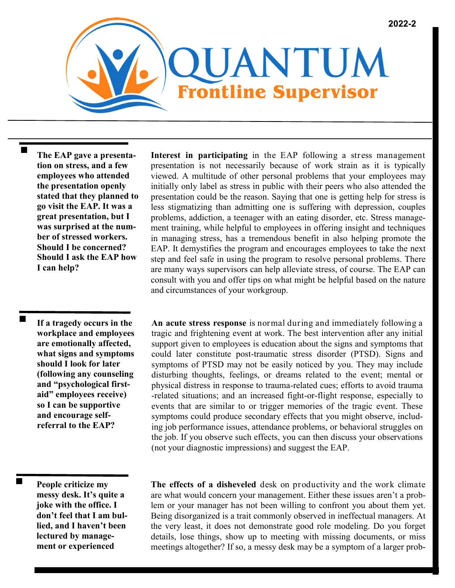

**The EAP gave a presentation on stress, and a few employees who attended the presentation openly stated that they planned to go visit the EAP. It was a great presentation, but I was surprised at the number of stressed workers. Should I be concerned? Should I ask the EAP how I can help?** 

**If a tragedy occurs in the workplace and employees are emotionally affected, what signs and symptoms should I look for later (following any counseling and "psychological firstaid" employees receive) so I can be supportive and encourage selfreferral to the EAP?**

 $\blacksquare$ 

**Interest in participating** in the EAP following a stress management presentation is not necessarily because of work strain as it is typically viewed. A multitude of other personal problems that your employees may initially only label as stress in public with their peers who also attended the presentation could be the reason. Saying that one is getting help for stress is less stigmatizing than admitting one is suffering with depression, couples problems, addiction, a teenager with an eating disorder, etc. Stress management training, while helpful to employees in offering insight and techniques in managing stress, has a tremendous benefit in also helping promote the EAP. It demystifies the program and encourages employees to take the next step and feel safe in using the program to resolve personal problems. There are many ways supervisors can help alleviate stress, of course. The EAP can consult with you and offer tips on what might be helpful based on the nature and circumstances of your workgroup.

**An acute stress response** is normal during and immediately following a tragic and frightening event at work. The best intervention after any initial support given to employees is education about the signs and symptoms that could later constitute post-traumatic stress disorder (PTSD). Signs and symptoms of PTSD may not be easily noticed by you. They may include disturbing thoughts, feelings, or dreams related to the event; mental or physical distress in response to trauma-related cues; efforts to avoid trauma -related situations; and an increased fight-or-flight response, especially to events that are similar to or trigger memories of the tragic event. These symptoms could produce secondary effects that you might observe, including job performance issues, attendance problems, or behavioral struggles on the job. If you observe such effects, you can then discuss your observations (not your diagnostic impressions) and suggest the EAP.

**People criticize my messy desk. It's quite a joke with the office. I don't feel that I am bullied, and I haven't been lectured by management or experienced** 

**The effects of a disheveled** desk on productivity and the work climate are what would concern your management. Either these issues aren't a problem or your manager has not been willing to confront you about them yet. Being disorganized is a trait commonly observed in ineffectual managers. At the very least, it does not demonstrate good role modeling. Do you forget details, lose things, show up to meeting with missing documents, or miss meetings altogether? If so, a messy desk may be a symptom of a larger prob